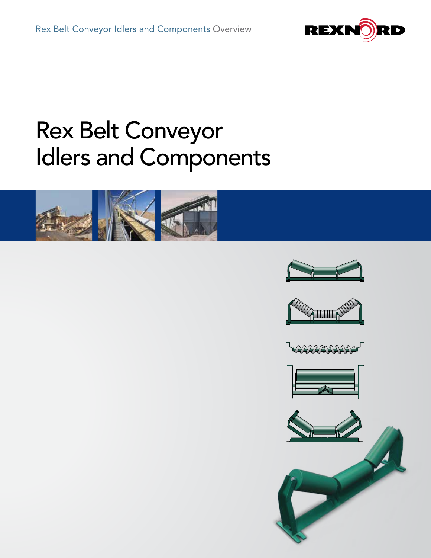

# Rex Belt Conveyor Idlers and Components











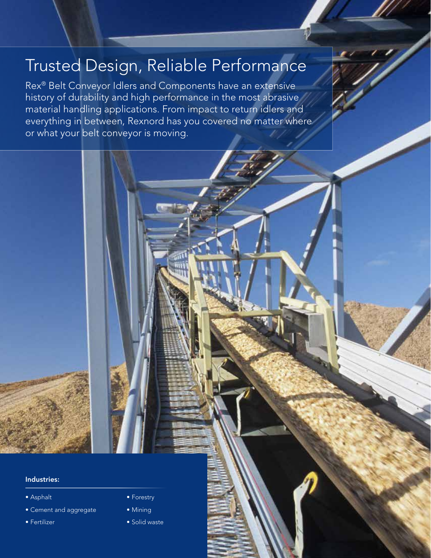# Trusted Design, Reliable Performance

Rex® Belt Conveyor Idlers and Components have an extensive history of durability and high performance in the most abrasive material handling applications. From impact to return idlers and everything in between, Rexnord has you covered no matter where or what your belt conveyor is moving.

#### Industries:

- Asphalt
- Cement and aggregate
- Fertilizer
- Forestry
- Mining
- Solid waste

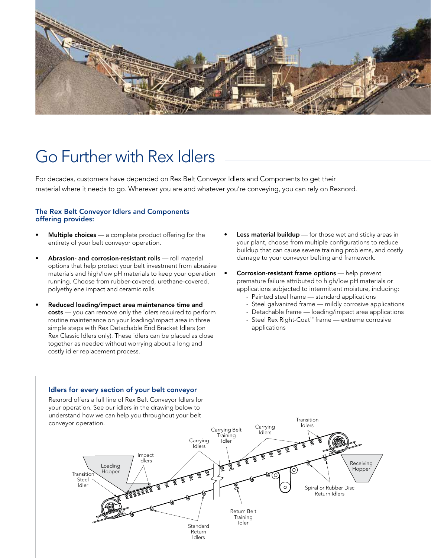

# Go Further with Rex Idlers

For decades, customers have depended on Rex Belt Conveyor Idlers and Components to get their material where it needs to go. Wherever you are and whatever you're conveying, you can rely on Rexnord.

#### The Rex Belt Conveyor Idlers and Components offering provides:

- Multiple choices a complete product offering for the entirety of your belt conveyor operation.
- Abrasion- and corrosion-resistant rolls roll material options that help protect your belt investment from abrasive materials and high/low pH materials to keep your operation running. Choose from rubber-covered, urethane-covered, polyethylene impact and ceramic rolls.
- Reduced loading/impact area maintenance time and costs — you can remove only the idlers required to perform routine maintenance on your loading/impact area in three simple steps with Rex Detachable End Bracket Idlers (on Rex Classic Idlers only). These idlers can be placed as close together as needed without worrying about a long and costly idler replacement process.
- Less material buildup for those wet and sticky areas in your plant, choose from multiple configurations to reduce buildup that can cause severe training problems, and costly damage to your conveyor belting and framework.
- **Corrosion-resistant frame options** help prevent premature failure attributed to high/low pH materials or applications subjected to intermittent moisture, including:
	- Painted steel frame standard applications
	- Steel galvanized frame mildly corrosive applications
	- Detachable frame loading/impact area applications
	- Steel Rex Right-Coat™ frame extreme corrosive applications



#### Idlers for every section of your belt conveyor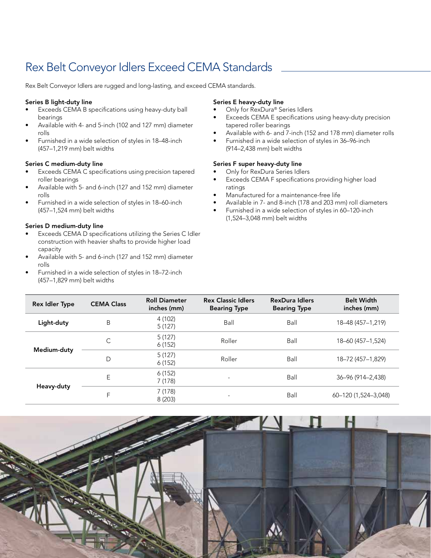### Rex Belt Conveyor Idlers Exceed CEMA Standards

Rex Belt Conveyor Idlers are rugged and long-lasting, and exceed CEMA standards.

#### Series B light-duty line

- Exceeds CEMA B specifications using heavy-duty ball bearings
- Available with 4- and 5-inch (102 and 127 mm) diameter rolls
- Furnished in a wide selection of styles in 18–48-inch (457–1,219 mm) belt widths

#### Series C medium-duty line

- Exceeds CEMA C specifications using precision tapered roller bearings
- Available with 5- and 6-inch (127 and 152 mm) diameter rolls
- Furnished in a wide selection of styles in 18–60-inch (457–1,524 mm) belt widths

#### Series D medium-duty line

- Exceeds CEMA D specifications utilizing the Series C Idler construction with heavier shafts to provide higher load capacity
- Available with 5- and 6-inch (127 and 152 mm) diameter rolls
- Furnished in a wide selection of styles in 18–72-inch (457–1,829 mm) belt widths

#### Series E heavy-duty line

- Only for RexDura® Series Idlers
- Exceeds CEMA E specifications using heavy-duty precision tapered roller bearings
- Available with 6- and 7-inch (152 and 178 mm) diameter rolls
- Furnished in a wide selection of styles in 36–96-inch (914–2,438 mm) belt widths

#### Series F super heavy-duty line

- Only for RexDura Series Idlers
- Exceeds CEMA F specifications providing higher load ratings
- Manufactured for a maintenance-free life
- Available in 7- and 8-inch (178 and 203 mm) roll diameters
- Furnished in a wide selection of styles in 60–120-inch (1,524–3,048 mm) belt widths

| <b>Rex Idler Type</b> | <b>CEMA Class</b> | <b>Roll Diameter</b><br>inches (mm) | <b>Rex Classic Idlers</b><br><b>Bearing Type</b> | <b>RexDura Idlers</b><br><b>Bearing Type</b> | <b>Belt Width</b><br>inches (mm) |
|-----------------------|-------------------|-------------------------------------|--------------------------------------------------|----------------------------------------------|----------------------------------|
| Light-duty            | B                 | 4 (102)<br>5(127)                   | Ball                                             | Ball                                         | 18-48 (457-1,219)                |
| Medium-duty           | С                 | 5(127)<br>6(152)                    | Roller                                           | Ball                                         | 18-60 (457-1,524)                |
|                       | D                 | 5(127)<br>6(152)                    | Roller                                           | Ball                                         | 18-72 (457-1,829)                |
| Heavy-duty            | E                 | 6(152)<br>7(178)                    | $\overline{\phantom{0}}$                         | Ball                                         | 36-96 (914-2,438)                |
|                       | F                 | 7 (178)<br>8(203)                   | $\overline{\phantom{0}}$                         | Ball                                         | 60-120 (1,524-3,048)             |

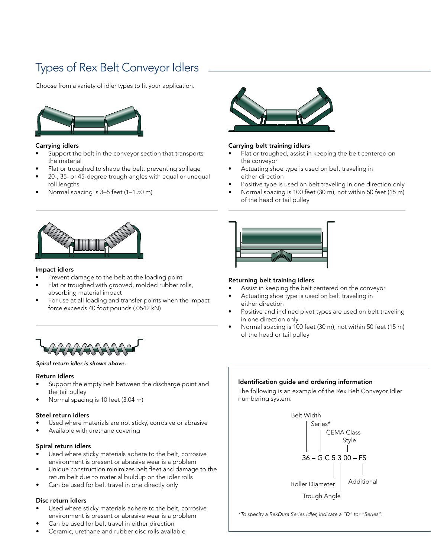## Types of Rex Belt Conveyor Idlers

Choose from a variety of idler types to fit your application.



#### Carrying idlers

- Support the belt in the conveyor section that transports the material
- Flat or troughed to shape the belt, preventing spillage
- 20-, 35- or 45-degree trough angles with equal or unequal roll lengths
- Normal spacing is 3–5 feet (1–1.50 m)



#### Carrying belt training idlers

- Flat or troughed, assist in keeping the belt centered on the conveyor
- Actuating shoe type is used on belt traveling in either direction
- Positive type is used on belt traveling in one direction only
- Normal spacing is 100 feet (30 m), not within 50 feet (15 m) of the head or tail pulley



#### Impact idlers

- Prevent damage to the belt at the loading point
- Flat or troughed with grooved, molded rubber rolls, absorbing material impact
- For use at all loading and transfer points when the impact force exceeds 40 foot pounds (.0542 kN)



#### *Spiral return idler is shown above.*

#### Return idlers

- Support the empty belt between the discharge point and the tail pulley
- Normal spacing is 10 feet (3.04 m)

#### Steel return idlers

- Used where materials are not sticky, corrosive or abrasive
- Available with urethane covering

#### Spiral return idlers

- Used where sticky materials adhere to the belt, corrosive environment is present or abrasive wear is a problem
- Unique construction minimizes belt fleet and damage to the return belt due to material buildup on the idler rolls
- Can be used for belt travel in one directly only

#### Disc return idlers

- Used where sticky materials adhere to the belt, corrosive environment is present or abrasive wear is a problem
- Can be used for belt travel in either direction
- Ceramic, urethane and rubber disc rolls available



#### Returning belt training idlers

- Assist in keeping the belt centered on the conveyor
- Actuating shoe type is used on belt traveling in either direction
- Positive and inclined pivot types are used on belt traveling in one direction only
- Normal spacing is 100 feet (30 m), not within 50 feet (15 m) of the head or tail pulley

#### Identification guide and ordering information

The following is an example of the Rex Belt Conveyor Idler numbering system.



*\*To specify a RexDura Series Idler, indicate a "D" for "Series".*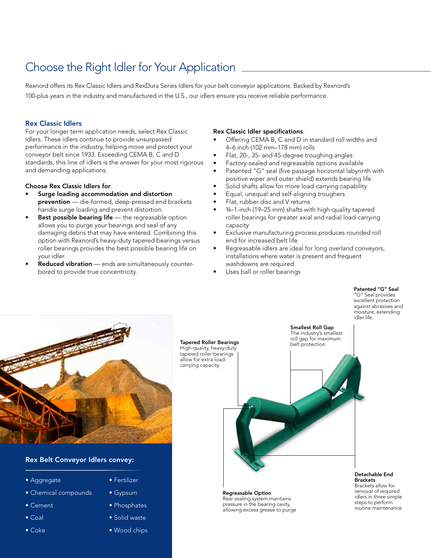### Choose the Right Idler for Your Application

Rexnord offers its Rex Classic Idlers and RexDura Series Idlers for your belt conveyor applications. Backed by Rexnord's 100-plus years in the industry and manufactured in the U.S., our idlers ensure you receive reliable performance.

#### Rex Classic Idlers

For your longer term application needs, select Rex Classic Idlers. These idlers continue to provide unsurpassed performance in the industry, helping move and protect your conveyor belt since 1933. Exceeding CEMA B, C and D standards, this line of idlers is the answer for your most rigorous and demanding applications.

#### Choose Rex Classic Idlers for:

- Surge loading accommodation and distortion prevention - die-formed, deep-pressed end brackets handle surge loading and prevent distortion.
- **Best possible bearing life**  $-$  the regreasable option allows you to purge your bearings and seal of any damaging debris that may have entered. Combining this option with Rexnord's heavy-duty tapered bearings versus roller bearings provides the best possible bearing life on your idler.
- Reduced vibration ends are simultaneously counterbored to provide true concentricity.

#### Rex Classic Idler specifications:

- Offering CEMA B, C and D in standard roll widths and 4–6 inch (102 mm–178 mm) rolls
- Flat, 20-, 35- and 45-degree troughing angles
- Factory-sealed and regreasable options available
- Patented "G" seal (five passage horizontal labyrinth with positive wiper and outer shield) extends bearing life
- Solid shafts allow for more load-carrying capability
- Equal, unequal and self-aligning troughers
- Flat, rubber disc and V returns
- ¾–1-inch (19–25 mm) shafts with high-quality tapered roller bearings for greater axial and radial load-carrying capacity
- Exclusive manufacturing process produces rounded roll end for increased belt life
- Regreasable idlers are ideal for long overland conveyors, installations where water is present and frequent washdowns are required

Smallest Roll Gap

Uses ball or roller bearings

#### Patented "G" Seal "G" Seal provides

excellent protection against abrasives and moisture, extending idler life



#### Rex Belt Conveyor Idlers convey:

- Aggregate
- Chemical compounds
- Cement
- Coal
- Coke
- Fertilizer
- Gypsum
- Phosphates
- Solid waste
- Wood chips

Tapered Roller Bearings High-quality, heavy-duty tapered roller bearings allow for extra loadcarrying capacity The industry's smallest roll gap for maximum belt protection

> Regreasable Option Rear sealing system maintains pressure in the bearing cavity, allowing excess grease to purge

#### Detachable End **Brackets** Brackets allow for

removal of required idlers in three simple steps to perform routine maintenance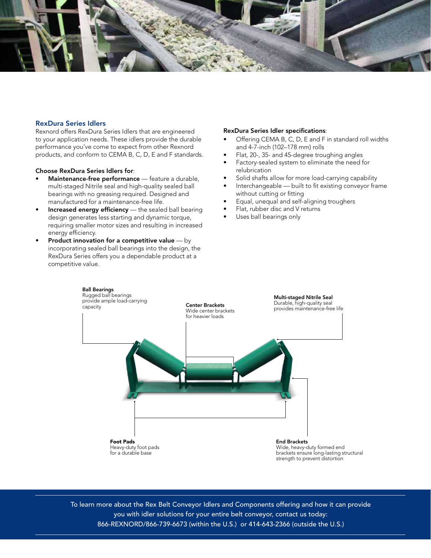

#### RexDura Series Idlers

Rexnord offers RexDura Series Idlers that are engineered to your application needs. These idlers provide the durable performance you've come to expect from other Rexnord products, and conform to CEMA B, C, D, E and F standards.

#### Choose RexDura Series Idlers for:

- Maintenance-free performance feature a durable, multi-staged Nitrile seal and high-quality sealed ball bearings with no greasing required. Designed and manufactured for a maintenance-free life.
- Increased energy efficiency the sealed ball bearing design generates less starting and dynamic torque, requiring smaller motor sizes and resulting in increased energy efficiency.
- Product innovation for a competitive value  $-$  by incorporating sealed ball bearings into the design, the RexDura Series offers you a dependable product at a competitive value.

#### RexDura Series Idler specifications:

- Offering CEMA B, C, D, E and F in standard roll widths and 4-7-inch (102–178 mm) rolls
- Flat, 20-, 35- and 45-degree troughing angles
- Factory-sealed system to eliminate the need for relubrication
- Solid shafts allow for more load-carrying capability
- Interchangeable built to fit existing conveyor frame without cutting or fitting
- Equal, unequal and self-aligning troughers
- Flat, rubber disc and V returns
- Uses ball bearings only



To learn more about the Rex Belt Conveyor Idlers and Components offering and how it can provide you with idler solutions for your entire belt conveyor, contact us today: 866-REXNORD/866-739-6673 (within the U.S.) or 414-643-2366 (outside the U.S.)